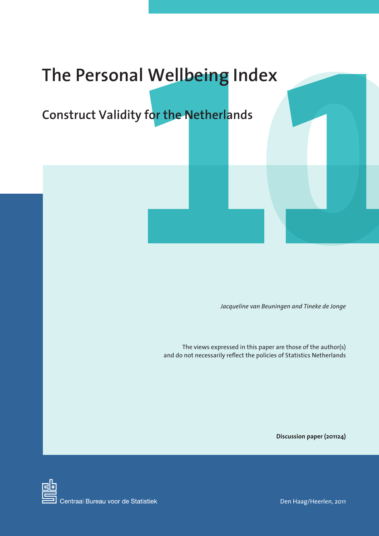# **11 Wellbeing Index<br>
y for the Netherlands** The Personal Wellbeing Index<br>
Construct Validity for the Netherlands<br> **Exploration Action Action**

**Construct Validity for the Netherlands**

*Jacqueline van Beuningen and Tineke de Jonge*

The views expressed in this paper are those of the author(s) and do not necessarily reflect the policies of Statistics Netherlands

**Discussion paper (201124)**



Den Haag/Heerlen, 2011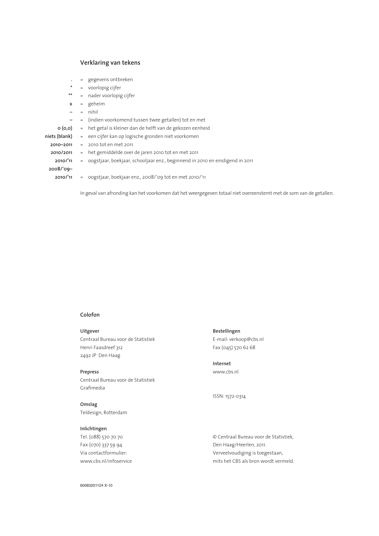### **Verklaring van tekens**

- **.** = gegevens ontbreken
- **\*** = voorlopig cijfer
- **\*\*** = nader voorlopig cijfer
- **x** = geheim
- **–** = nihil
- **–** = (indien voorkomend tussen twee getallen) tot en met
- **0 (0,0)** = het getal is kleiner dan de helft van de gekozen eenheid

| niets (blank) | = een cijfer kan op logische gronden niet voorkomen                              |
|---------------|----------------------------------------------------------------------------------|
| 2010-2011     | $= 2010$ tot en met $2011$                                                       |
| 2010/2011     | $=$ het gemiddelde over de jaren 2010 tot en met 2011                            |
| 2010/'11      | $=$ oogstjaar, boekjaar, schooljaar enz., beginnend in 2010 en eindigend in 2011 |
| $2008/09-$    |                                                                                  |
| 2010/11       | = oogstjaar, boekjaar enz., 2008/'09 tot en met 2010/'11                         |
|               |                                                                                  |

In geval van afronding kan het voorkomen dat het weergegeven totaal niet overeenstemt met de som van de getallen.

### **Colofon**

### **Uitgever**

Centraal Bureau voor de Statistiek Henri Faasdreef 312 2492 JP Den Haag

### **Prepress**

Centraal Bureau voor de Statistiek Grafimedia

**Omslag** Teldesign, Rotterdam

### **Inlichtingen**

Tel. (088) 570 70 70 Fax (070) 337 59 94 Via contactformulier: www.cbs.nl/infoservice

### **Bestellingen** E-mail: verkoop@cbs.nl Fax (045) 570 62 68

**Internet** www.cbs.nl

ISSN: 1572-0314

© Centraal Bureau voor de Statistiek, Den Haag/Heerlen, 2011. Verveelvoudiging is toegestaan, mits het CBS als bron wordt vermeld.

60083201124 X-10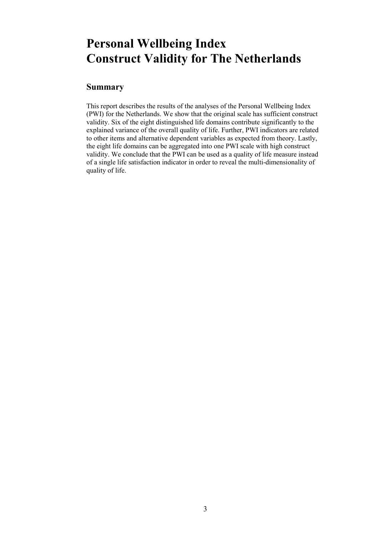# **Personal Wellbeing Index Construct Validity for The Netherlands**

# **Summary**

This report describes the results of the analyses of the Personal Wellbeing Index (PWI) for the Netherlands. We show that the original scale has sufficient construct validity. Six of the eight distinguished life domains contribute significantly to the explained variance of the overall quality of life. Further, PWI indicators are related to other items and alternative dependent variables as expected from theory. Lastly, the eight life domains can be aggregated into one PWI scale with high construct validity. We conclude that the PWI can be used as a quality of life measure instead of a single life satisfaction indicator in order to reveal the multi-dimensionality of quality of life.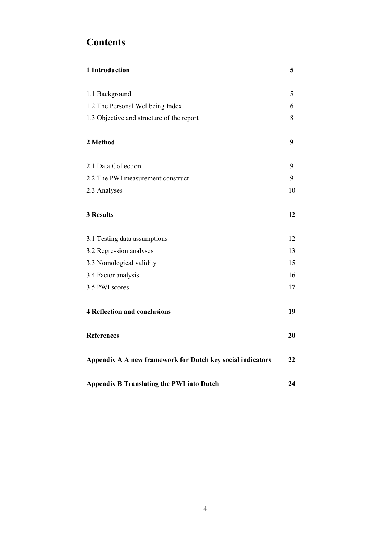# **Contents**

| 1 Introduction                                             | 5  |
|------------------------------------------------------------|----|
| 1.1 Background                                             | 5  |
| 1.2 The Personal Wellbeing Index                           | 6  |
| 1.3 Objective and structure of the report                  | 8  |
| 2 Method                                                   | 9  |
| 2.1 Data Collection                                        | 9  |
| 2.2 The PWI measurement construct                          | 9  |
| 2.3 Analyses                                               | 10 |
| <b>3 Results</b>                                           | 12 |
| 3.1 Testing data assumptions                               | 12 |
| 3.2 Regression analyses                                    | 13 |
| 3.3 Nomological validity                                   | 15 |
| 3.4 Factor analysis                                        | 16 |
| 3.5 PWI scores                                             | 17 |
| <b>4 Reflection and conclusions</b>                        | 19 |
| <b>References</b>                                          | 20 |
| Appendix A A new framework for Dutch key social indicators | 22 |
| <b>Appendix B Translating the PWI into Dutch</b>           | 24 |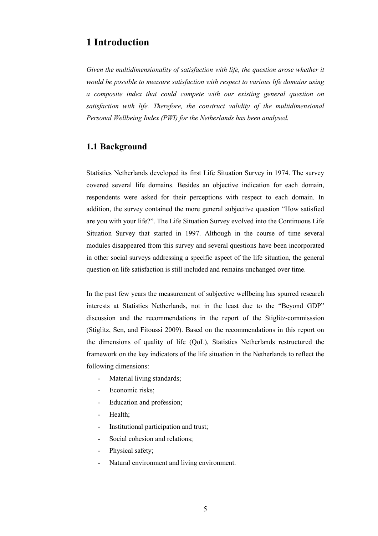# **1 Introduction**

*Given the multidimensionality of satisfaction with life, the question arose whether it would be possible to measure satisfaction with respect to various life domains using a composite index that could compete with our existing general question on satisfaction with life. Therefore, the construct validity of the multidimensional Personal Wellbeing Index (PWI) for the Netherlands has been analysed.* 

# **1.1 Background**

Statistics Netherlands developed its first Life Situation Survey in 1974. The survey covered several life domains. Besides an objective indication for each domain, respondents were asked for their perceptions with respect to each domain. In addition, the survey contained the more general subjective question "How satisfied are you with your life?". The Life Situation Survey evolved into the Continuous Life Situation Survey that started in 1997. Although in the course of time several modules disappeared from this survey and several questions have been incorporated in other social surveys addressing a specific aspect of the life situation, the general question on life satisfaction is still included and remains unchanged over time.

In the past few years the measurement of subjective wellbeing has spurred research interests at Statistics Netherlands, not in the least due to the "Beyond GDP" discussion and the recommendations in the report of the Stiglitz-commisssion (Stiglitz, Sen, and Fitoussi 2009). Based on the recommendations in this report on the dimensions of quality of life (QoL), Statistics Netherlands restructured the framework on the key indicators of the life situation in the Netherlands to reflect the following dimensions:

- Material living standards;
- Economic risks;
- Education and profession;
- Health;
- Institutional participation and trust;
- Social cohesion and relations;
- Physical safety;
- Natural environment and living environment.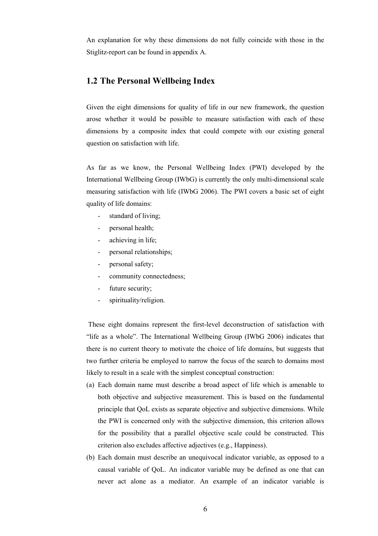An explanation for why these dimensions do not fully coincide with those in the Stiglitz-report can be found in appendix A.

# **1.2 The Personal Wellbeing Index**

Given the eight dimensions for quality of life in our new framework, the question arose whether it would be possible to measure satisfaction with each of these dimensions by a composite index that could compete with our existing general question on satisfaction with life.

As far as we know, the Personal Wellbeing Index (PWI) developed by the International Wellbeing Group (IWbG) is currently the only multi-dimensional scale measuring satisfaction with life (IWbG 2006). The PWI covers a basic set of eight quality of life domains:

- standard of living;
- personal health;
- achieving in life;
- personal relationships;
- personal safety;
- community connectedness;
- future security;
- spirituality/religion.

These eight domains represent the first-level deconstruction of satisfaction with "life as a whole". The International Wellbeing Group (IWbG 2006) indicates that there is no current theory to motivate the choice of life domains, but suggests that two further criteria be employed to narrow the focus of the search to domains most likely to result in a scale with the simplest conceptual construction:

- (a) Each domain name must describe a broad aspect of life which is amenable to both objective and subjective measurement. This is based on the fundamental principle that QoL exists as separate objective and subjective dimensions. While the PWI is concerned only with the subjective dimension, this criterion allows for the possibility that a parallel objective scale could be constructed. This criterion also excludes affective adjectives (e.g., Happiness).
- (b) Each domain must describe an unequivocal indicator variable, as opposed to a causal variable of QoL. An indicator variable may be defined as one that can never act alone as a mediator. An example of an indicator variable is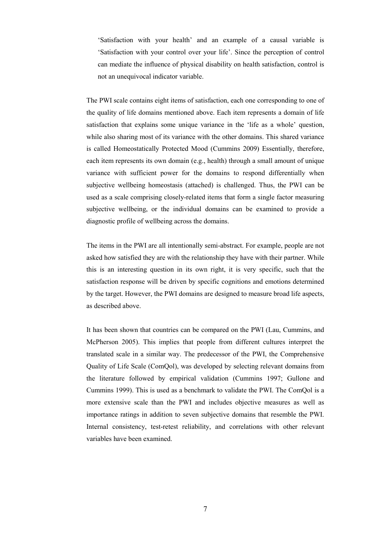'Satisfaction with your health' and an example of a causal variable is 'Satisfaction with your control over your life'. Since the perception of control can mediate the influence of physical disability on health satisfaction, control is not an unequivocal indicator variable.

The PWI scale contains eight items of satisfaction, each one corresponding to one of the quality of life domains mentioned above. Each item represents a domain of life satisfaction that explains some unique variance in the 'life as a whole' question, while also sharing most of its variance with the other domains. This shared variance is called Homeostatically Protected Mood (Cummins 2009) Essentially, therefore, each item represents its own domain (e.g., health) through a small amount of unique variance with sufficient power for the domains to respond differentially when subjective wellbeing homeostasis (attached) is challenged. Thus, the PWI can be used as a scale comprising closely-related items that form a single factor measuring subjective wellbeing, or the individual domains can be examined to provide a diagnostic profile of wellbeing across the domains.

The items in the PWI are all intentionally semi-abstract. For example, people are not asked how satisfied they are with the relationship they have with their partner. While this is an interesting question in its own right, it is very specific, such that the satisfaction response will be driven by specific cognitions and emotions determined by the target. However, the PWI domains are designed to measure broad life aspects, as described above.

It has been shown that countries can be compared on the PWI (Lau, Cummins, and McPherson 2005). This implies that people from different cultures interpret the translated scale in a similar way. The predecessor of the PWI, the Comprehensive Quality of Life Scale (ComQol), was developed by selecting relevant domains from the literature followed by empirical validation (Cummins 1997; Gullone and Cummins 1999). This is used as a benchmark to validate the PWI. The ComQol is a more extensive scale than the PWI and includes objective measures as well as importance ratings in addition to seven subjective domains that resemble the PWI. Internal consistency, test-retest reliability, and correlations with other relevant variables have been examined.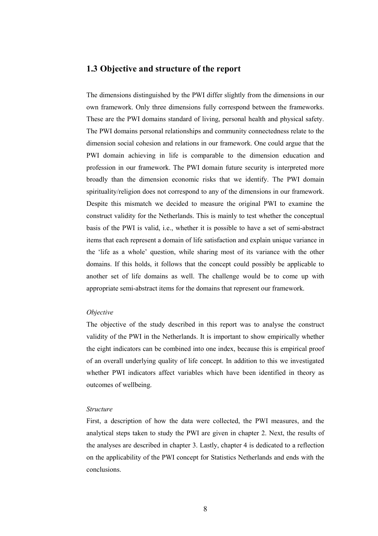# **1.3 Objective and structure of the report**

The dimensions distinguished by the PWI differ slightly from the dimensions in our own framework. Only three dimensions fully correspond between the frameworks. These are the PWI domains standard of living, personal health and physical safety. The PWI domains personal relationships and community connectedness relate to the dimension social cohesion and relations in our framework. One could argue that the PWI domain achieving in life is comparable to the dimension education and profession in our framework. The PWI domain future security is interpreted more broadly than the dimension economic risks that we identify. The PWI domain spirituality/religion does not correspond to any of the dimensions in our framework. Despite this mismatch we decided to measure the original PWI to examine the construct validity for the Netherlands. This is mainly to test whether the conceptual basis of the PWI is valid, i.e., whether it is possible to have a set of semi-abstract items that each represent a domain of life satisfaction and explain unique variance in the 'life as a whole' question, while sharing most of its variance with the other domains. If this holds, it follows that the concept could possibly be applicable to another set of life domains as well. The challenge would be to come up with appropriate semi-abstract items for the domains that represent our framework.

### *Objective*

The objective of the study described in this report was to analyse the construct validity of the PWI in the Netherlands. It is important to show empirically whether the eight indicators can be combined into one index, because this is empirical proof of an overall underlying quality of life concept. In addition to this we investigated whether PWI indicators affect variables which have been identified in theory as outcomes of wellbeing.

### *Structure*

First, a description of how the data were collected, the PWI measures, and the analytical steps taken to study the PWI are given in chapter 2. Next, the results of the analyses are described in chapter 3. Lastly, chapter 4 is dedicated to a reflection on the applicability of the PWI concept for Statistics Netherlands and ends with the conclusions.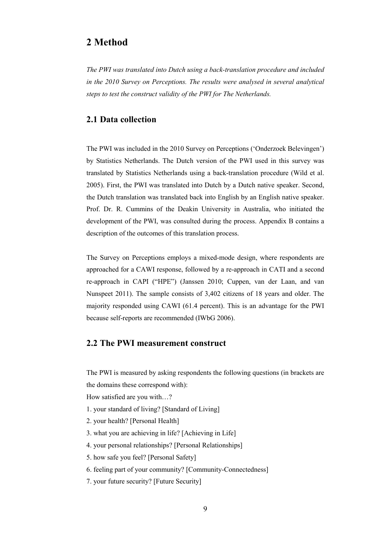# **2 Method**

*The PWI was translated into Dutch using a back-translation procedure and included in the 2010 Survey on Perceptions. The results were analysed in several analytical steps to test the construct validity of the PWI for The Netherlands.* 

# **2.1 Data collection**

The PWI was included in the 2010 Survey on Perceptions ('Onderzoek Belevingen') by Statistics Netherlands. The Dutch version of the PWI used in this survey was translated by Statistics Netherlands using a back-translation procedure (Wild et al. 2005). First, the PWI was translated into Dutch by a Dutch native speaker. Second, the Dutch translation was translated back into English by an English native speaker. Prof. Dr. R. Cummins of the Deakin University in Australia, who initiated the development of the PWI, was consulted during the process. Appendix B contains a description of the outcomes of this translation process.

The Survey on Perceptions employs a mixed-mode design, where respondents are approached for a CAWI response, followed by a re-approach in CATI and a second re-approach in CAPI ("HPE") (Janssen 2010; Cuppen, van der Laan, and van Nunspeet 2011). The sample consists of 3,402 citizens of 18 years and older. The majority responded using CAWI (61.4 percent). This is an advantage for the PWI because self-reports are recommended (IWbG 2006).

# **2.2 The PWI measurement construct**

The PWI is measured by asking respondents the following questions (in brackets are the domains these correspond with):

How satisfied are you with…?

- 1. your standard of living? [Standard of Living]
- 2. your health? [Personal Health]
- 3. what you are achieving in life? [Achieving in Life]
- 4. your personal relationships? [Personal Relationships]
- 5. how safe you feel? [Personal Safety]
- 6. feeling part of your community? [Community-Connectedness]
- 7. your future security? [Future Security]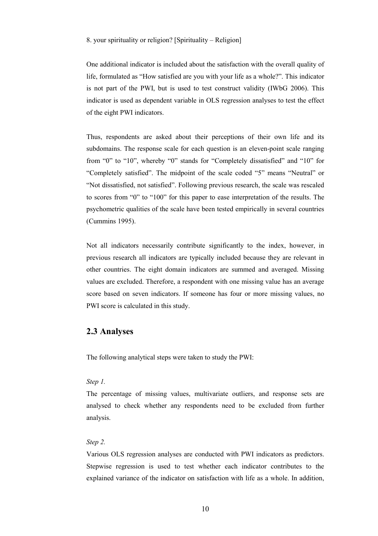### 8. your spirituality or religion? [Spirituality – Religion]

One additional indicator is included about the satisfaction with the overall quality of life, formulated as "How satisfied are you with your life as a whole?". This indicator is not part of the PWI, but is used to test construct validity (IWbG 2006). This indicator is used as dependent variable in OLS regression analyses to test the effect of the eight PWI indicators.

Thus, respondents are asked about their perceptions of their own life and its subdomains. The response scale for each question is an eleven-point scale ranging from "0" to "10", whereby "0" stands for "Completely dissatisfied" and "10" for "Completely satisfied". The midpoint of the scale coded "5" means "Neutral" or "Not dissatisfied, not satisfied". Following previous research, the scale was rescaled to scores from "0" to "100" for this paper to ease interpretation of the results. The psychometric qualities of the scale have been tested empirically in several countries (Cummins 1995).

Not all indicators necessarily contribute significantly to the index, however, in previous research all indicators are typically included because they are relevant in other countries. The eight domain indicators are summed and averaged. Missing values are excluded. Therefore, a respondent with one missing value has an average score based on seven indicators. If someone has four or more missing values, no PWI score is calculated in this study.

# **2.3 Analyses**

The following analytical steps were taken to study the PWI:

### *Step 1.*

The percentage of missing values, multivariate outliers, and response sets are analysed to check whether any respondents need to be excluded from further analysis.

### *Step 2.*

Various OLS regression analyses are conducted with PWI indicators as predictors. Stepwise regression is used to test whether each indicator contributes to the explained variance of the indicator on satisfaction with life as a whole. In addition,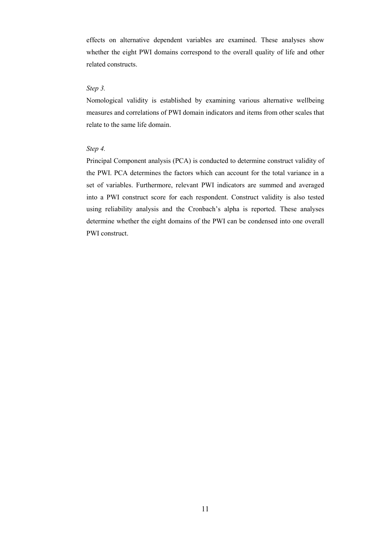effects on alternative dependent variables are examined. These analyses show whether the eight PWI domains correspond to the overall quality of life and other related constructs.

### *Step 3.*

Nomological validity is established by examining various alternative wellbeing measures and correlations of PWI domain indicators and items from other scales that relate to the same life domain.

### *Step 4.*

Principal Component analysis (PCA) is conducted to determine construct validity of the PWI. PCA determines the factors which can account for the total variance in a set of variables. Furthermore, relevant PWI indicators are summed and averaged into a PWI construct score for each respondent. Construct validity is also tested using reliability analysis and the Cronbach's alpha is reported. These analyses determine whether the eight domains of the PWI can be condensed into one overall PWI construct.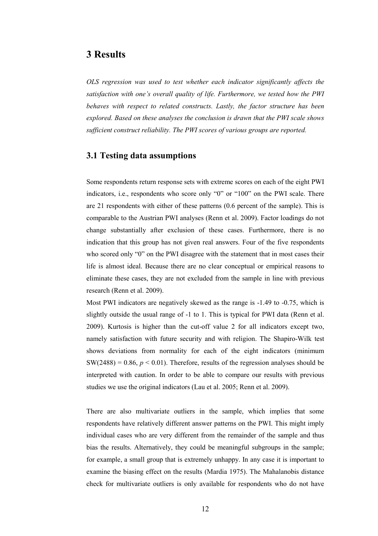# **3 Results**

*OLS regression was used to test whether each indicator significantly affects the satisfaction with one's overall quality of life. Furthermore, we tested how the PWI behaves with respect to related constructs. Lastly, the factor structure has been explored. Based on these analyses the conclusion is drawn that the PWI scale shows sufficient construct reliability. The PWI scores of various groups are reported.* 

## **3.1 Testing data assumptions**

Some respondents return response sets with extreme scores on each of the eight PWI indicators, i.e., respondents who score only "0" or "100" on the PWI scale. There are 21 respondents with either of these patterns (0.6 percent of the sample). This is comparable to the Austrian PWI analyses (Renn et al. 2009). Factor loadings do not change substantially after exclusion of these cases. Furthermore, there is no indication that this group has not given real answers. Four of the five respondents who scored only "0" on the PWI disagree with the statement that in most cases their life is almost ideal. Because there are no clear conceptual or empirical reasons to eliminate these cases, they are not excluded from the sample in line with previous research (Renn et al. 2009).

Most PWI indicators are negatively skewed as the range is -1.49 to -0.75, which is slightly outside the usual range of -1 to 1. This is typical for PWI data (Renn et al. 2009). Kurtosis is higher than the cut-off value 2 for all indicators except two, namely satisfaction with future security and with religion. The Shapiro-Wilk test shows deviations from normality for each of the eight indicators (minimum  $SW(2488) = 0.86$ ,  $p < 0.01$ ). Therefore, results of the regression analyses should be interpreted with caution. In order to be able to compare our results with previous studies we use the original indicators (Lau et al. 2005; Renn et al. 2009).

There are also multivariate outliers in the sample, which implies that some respondents have relatively different answer patterns on the PWI. This might imply individual cases who are very different from the remainder of the sample and thus bias the results. Alternatively, they could be meaningful subgroups in the sample; for example, a small group that is extremely unhappy. In any case it is important to examine the biasing effect on the results (Mardia 1975). The Mahalanobis distance check for multivariate outliers is only available for respondents who do not have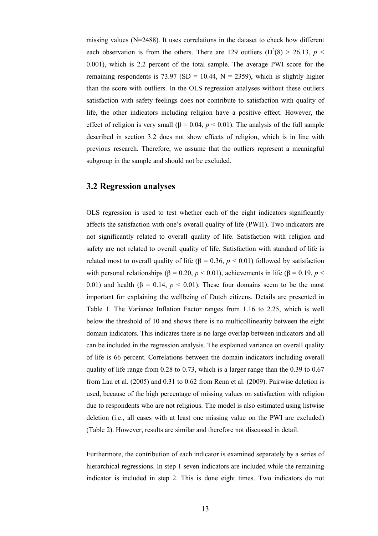missing values (N=2488). It uses correlations in the dataset to check how different each observation is from the others. There are 129 outliers ( $D^2(8) > 26.13$ ,  $p <$ 0.001), which is 2.2 percent of the total sample. The average PWI score for the remaining respondents is 73.97 (SD = 10.44,  $N = 2359$ ), which is slightly higher than the score with outliers. In the OLS regression analyses without these outliers satisfaction with safety feelings does not contribute to satisfaction with quality of life, the other indicators including religion have a positive effect. However, the effect of religion is very small ( $\beta$  = 0.04,  $p$  < 0.01). The analysis of the full sample described in section 3.2 does not show effects of religion, which is in line with previous research. Therefore, we assume that the outliers represent a meaningful subgroup in the sample and should not be excluded.

# **3.2 Regression analyses**

OLS regression is used to test whether each of the eight indicators significantly affects the satisfaction with one's overall quality of life (PWI1). Two indicators are not significantly related to overall quality of life. Satisfaction with religion and safety are not related to overall quality of life. Satisfaction with standard of life is related most to overall quality of life ( $\beta$  = 0.36, *p* < 0.01) followed by satisfaction with personal relationships ( $\beta$  = 0.20, *p* < 0.01), achievements in life ( $\beta$  = 0.19, *p* < 0.01) and health  $(\beta = 0.14, p < 0.01)$ . These four domains seem to be the most important for explaining the wellbeing of Dutch citizens. Details are presented in Table 1. The Variance Inflation Factor ranges from 1.16 to 2.25, which is well below the threshold of 10 and shows there is no multicollinearity between the eight domain indicators. This indicates there is no large overlap between indicators and all can be included in the regression analysis. The explained variance on overall quality of life is 66 percent. Correlations between the domain indicators including overall quality of life range from 0.28 to 0.73, which is a larger range than the 0.39 to 0.67 from Lau et al. (2005) and 0.31 to 0.62 from Renn et al. (2009). Pairwise deletion is used, because of the high percentage of missing values on satisfaction with religion due to respondents who are not religious. The model is also estimated using listwise deletion (i.e., all cases with at least one missing value on the PWI are excluded) (Table 2). However, results are similar and therefore not discussed in detail.

Furthermore, the contribution of each indicator is examined separately by a series of hierarchical regressions. In step 1 seven indicators are included while the remaining indicator is included in step 2. This is done eight times. Two indicators do not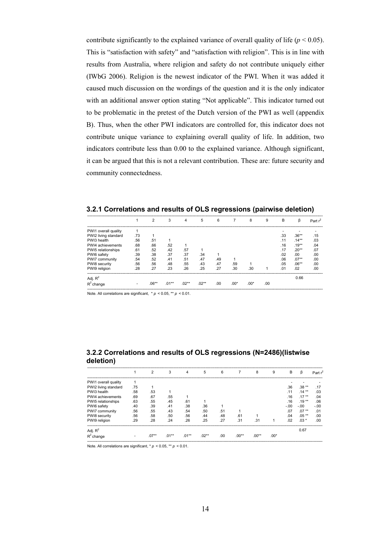contribute significantly to the explained variance of overall quality of life ( $p < 0.05$ ). This is "satisfaction with safety" and "satisfaction with religion". This is in line with results from Australia, where religion and safety do not contribute uniquely either (IWbG 2006). Religion is the newest indicator of the PWI. When it was added it caused much discussion on the wordings of the question and it is the only indicator with an additional answer option stating "Not applicable". This indicator turned out to be problematic in the pretest of the Dutch version of the PWI as well (appendix B). Thus, when the other PWI indicators are controlled for, this indicator does not contribute unique variance to explaining overall quality of life. In addition, two indicators contribute less than 0.00 to the explained variance. Although significant, it can be argued that this is not a relevant contribution. These are: future security and community connectedness.

|                      |     |          | 3       |         | 5       | 6   |        | 8      | 9   | B   | β        |     |
|----------------------|-----|----------|---------|---------|---------|-----|--------|--------|-----|-----|----------|-----|
| PWI1 overall quality |     |          |         |         |         |     |        |        |     |     |          |     |
| PWI2 living standard | .73 |          |         |         |         |     |        |        |     | .33 | $.36**$  | .15 |
| PWI3 health          | .56 | .51      |         |         |         |     |        |        |     | .11 | $.14***$ | .03 |
| PWI4 achievements    | .68 | .66      | .52     |         |         |     |        |        |     | .16 | $.19**$  | .04 |
| PWI5 relationships   | .61 | .52      | .42     | .57     |         |     |        |        |     | .17 | $.20**$  | .07 |
| PWI6 safety          | .39 | .38      | .37     | .37     | .34     |     |        |        |     | .02 | .00      | .00 |
| PWI7 community       | .54 | .52      | .41     | .51     | .47     | .49 |        |        |     | .06 | $.07***$ | .00 |
| PWI8 security        | .56 | .56      | .48     | .55     | .43     | .47 | .59    |        |     | .05 | $.06**$  | .00 |
| PWI9 religion        | .28 | .27      | .23     | .26     | .25     | .27 | .30    | .30    |     | .01 | .02      | .00 |
| Adj. $R^2$           |     |          |         |         |         |     |        |        |     |     | 0.66     |     |
| $R^2$ change         |     | $.06***$ | $.01**$ | $.02**$ | $.02**$ | .00 | $.00*$ | $.00*$ | .00 |     |          |     |

**3.2.1 Correlations and results of OLS regressions (pairwise deletion)**  -----------------------------------------------------------------------------------------------------------------------------------------------------------------------------------------

Note. All correlations are significant, \* *p* < 0.05, \*\* *p* < 0.01. -----------------------------------------------------------------------------------------------------------------------------------------------------------------------------------------

### **3.2.2 Correlations and results of OLS regressions (N=2486)(listwise deletion)**

|                      |     | $\mathcal{P}$ | 3        | 4       | 5       | 6   |         | 8       | 9      | B      | ß        | Part $r^2$       |
|----------------------|-----|---------------|----------|---------|---------|-----|---------|---------|--------|--------|----------|------------------|
| PWI1 overall quality |     |               |          |         |         |     |         |         |        |        |          |                  |
| PWI2 living standard | .75 |               |          |         |         |     |         |         |        | .36    | $.38**$  | .17              |
| PWI3 health          | .58 | .53           |          |         |         |     |         |         |        | .11    | $.14***$ | .03              |
| PWI4 achievements    | .69 | .67           | .55      |         |         |     |         |         |        | .16    | $.17***$ | .04              |
| PWI5 relationships   | .63 | .55           | .45      | .61     |         |     |         |         |        | .16    | $.19**$  | .06              |
| PWI6 safety          | .40 | .39           | .41      | .38     | .36     |     |         |         |        | $-.00$ | $-.00$   | $-.00$           |
| PWI7 community       | .56 | .55           | .43      | .54     | .50     | .51 |         |         |        | .07    | $.07***$ | .01              |
| PWI8 security        | .56 | .58           | .50      | .56     | .44     | .48 | .61     |         |        | .04    | $.05***$ | .00 <sub>1</sub> |
| PWI9 religion        | .29 | .28           | .24      | .26     | 25      | .27 | .31     | .31     |        | .02    | $.03*$   | .00.             |
| Adj. $R^2$           |     |               |          |         |         |     |         |         |        |        | 0.67     |                  |
| $R^2$ change         | ۰   | $.07**$       | $.01***$ | $.01**$ | $.02**$ | .00 | $.00**$ | $.00**$ | $.00*$ |        |          |                  |

Note. All correlations are significant, \* *p* < 0.05, \*\* *p* < 0.01.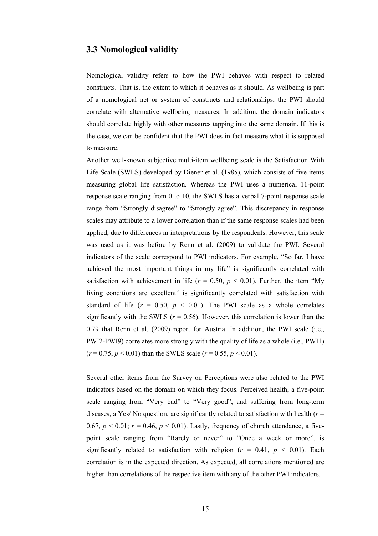### **3.3 Nomological validity**

Nomological validity refers to how the PWI behaves with respect to related constructs. That is, the extent to which it behaves as it should. As wellbeing is part of a nomological net or system of constructs and relationships, the PWI should correlate with alternative wellbeing measures. In addition, the domain indicators should correlate highly with other measures tapping into the same domain. If this is the case, we can be confident that the PWI does in fact measure what it is supposed to measure.

Another well-known subjective multi-item wellbeing scale is the Satisfaction With Life Scale (SWLS) developed by Diener et al. (1985), which consists of five items measuring global life satisfaction. Whereas the PWI uses a numerical 11-point response scale ranging from 0 to 10, the SWLS has a verbal 7-point response scale range from "Strongly disagree" to "Strongly agree". This discrepancy in response scales may attribute to a lower correlation than if the same response scales had been applied, due to differences in interpretations by the respondents. However, this scale was used as it was before by Renn et al. (2009) to validate the PWI. Several indicators of the scale correspond to PWI indicators. For example, "So far, I have achieved the most important things in my life" is significantly correlated with satisfaction with achievement in life ( $r = 0.50$ ,  $p < 0.01$ ). Further, the item "My living conditions are excellent" is significantly correlated with satisfaction with standard of life  $(r = 0.50, p < 0.01)$ . The PWI scale as a whole correlates significantly with the SWLS ( $r = 0.56$ ). However, this correlation is lower than the 0.79 that Renn et al. (2009) report for Austria. In addition, the PWI scale (i.e., PWI2-PWI9) correlates more strongly with the quality of life as a whole (i.e., PWI1)  $(r = 0.75, p \le 0.01)$  than the SWLS scale  $(r = 0.55, p \le 0.01)$ .

Several other items from the Survey on Perceptions were also related to the PWI indicators based on the domain on which they focus. Perceived health, a five-point scale ranging from "Very bad" to "Very good", and suffering from long-term diseases, a Yes/ No question, are significantly related to satisfaction with health (*r* = 0.67,  $p < 0.01$ ;  $r = 0.46$ ,  $p < 0.01$ ). Lastly, frequency of church attendance, a fivepoint scale ranging from "Rarely or never" to "Once a week or more", is significantly related to satisfaction with religion ( $r = 0.41$ ,  $p \le 0.01$ ). Each correlation is in the expected direction. As expected, all correlations mentioned are higher than correlations of the respective item with any of the other PWI indicators.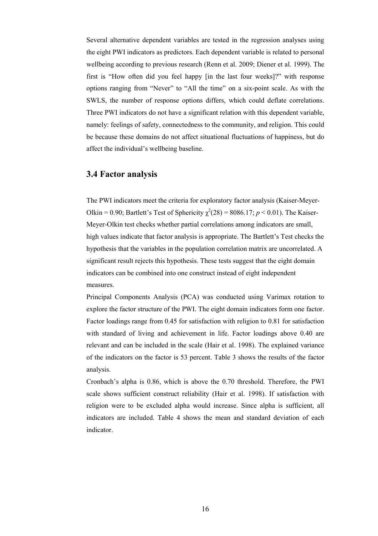Several alternative dependent variables are tested in the regression analyses using the eight PWI indicators as predictors. Each dependent variable is related to personal wellbeing according to previous research (Renn et al. 2009; Diener et al. 1999). The first is "How often did you feel happy [in the last four weeks]?" with response options ranging from "Never" to "All the time" on a six-point scale. As with the SWLS, the number of response options differs, which could deflate correlations. Three PWI indicators do not have a significant relation with this dependent variable, namely: feelings of safety, connectedness to the community, and religion. This could be because these domains do not affect situational fluctuations of happiness, but do affect the individual's wellbeing baseline.

# **3.4 Factor analysis**

The PWI indicators meet the criteria for exploratory factor analysis (Kaiser-Meyer-Olkin = 0.90; Bartlett's Test of Sphericity  $\chi^2(28) = 8086.17$ ;  $p < 0.01$ ). The Kaiser-Meyer-Olkin test checks whether partial correlations among indicators are small, high values indicate that factor analysis is appropriate. The Bartlett's Test checks the hypothesis that the variables in the population correlation matrix are uncorrelated. A significant result rejects this hypothesis. These tests suggest that the eight domain indicators can be combined into one construct instead of eight independent measures.

Principal Components Analysis (PCA) was conducted using Varimax rotation to explore the factor structure of the PWI. The eight domain indicators form one factor. Factor loadings range from 0.45 for satisfaction with religion to 0.81 for satisfaction with standard of living and achievement in life. Factor loadings above 0.40 are relevant and can be included in the scale (Hair et al. 1998). The explained variance of the indicators on the factor is 53 percent. Table 3 shows the results of the factor analysis.

Cronbach's alpha is 0.86, which is above the 0.70 threshold. Therefore, the PWI scale shows sufficient construct reliability (Hair et al. 1998). If satisfaction with religion were to be excluded alpha would increase. Since alpha is sufficient, all indicators are included. Table 4 shows the mean and standard deviation of each indicator.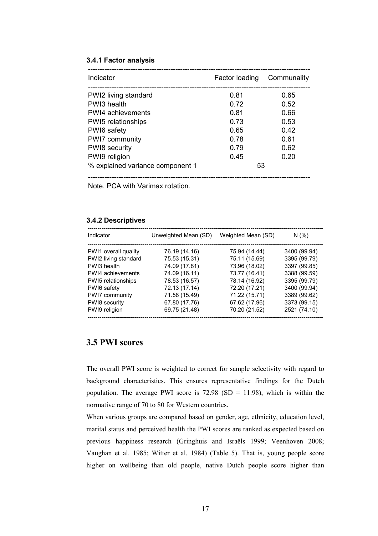### **3.4.1 Factor analysis**

| Indicator                        | Factor loading | Communality |
|----------------------------------|----------------|-------------|
| PWI2 living standard             | 0.81           | 0.65        |
| PWI3 health                      | 0.72           | 0.52        |
| PWI4 achievements                | 0.81           | 0.66        |
| PWI5 relationships               | 0.73           | 0.53        |
| PWI6 safety                      | 0.65           | 0.42        |
| PWI7 community                   | 0.78           | 0.61        |
| <b>PWI8</b> security             | 0.79           | 0.62        |
| PWI9 religion                    | 0.45           | 0.20        |
| % explained variance component 1 | 53             |             |

----------------------------------------------------------------------------------------------

Note. PCA with Varimax rotation.

### **3.4.2 Descriptives**

| Unweighted Mean (SD) | Weighted Mean (SD) | N(% )         |
|----------------------|--------------------|---------------|
|                      |                    | 3400 (99.94)  |
| 75.53 (15.31)        | 75.11 (15.69)      | 3395 (99.79)  |
| 74.09 (17.81)        | 73.96 (18.02)      | 3397 (99.85)  |
| 74.09 (16.11)        | 73.77 (16.41)      | 3388 (99.59)  |
| 78.53 (16.57)        | 78.14 (16.92)      | 3395 (99.79)  |
| 72.13 (17.14)        | 72.20 (17.21)      | 3400 (99.94)  |
| 71.58 (15.49)        | 71.22 (15.71)      | 3389 (99.62)  |
| 67.80 (17.76)        | 67.62 (17.96)      | 3373 (99.15)  |
| 69.75 (21.48)        | 70.20 (21.52)      | 2521 (74.10)  |
|                      | 76.19 (14.16)      | 75.94 (14.44) |

### **3.5 PWI scores**

The overall PWI score is weighted to correct for sample selectivity with regard to background characteristics. This ensures representative findings for the Dutch population. The average PWI score is  $72.98$  (SD = 11.98), which is within the normative range of 70 to 80 for Western countries.

When various groups are compared based on gender, age, ethnicity, education level, marital status and perceived health the PWI scores are ranked as expected based on previous happiness research (Gringhuis and Israëls 1999; Veenhoven 2008; Vaughan et al. 1985; Witter et al. 1984) (Table 5). That is, young people score higher on wellbeing than old people, native Dutch people score higher than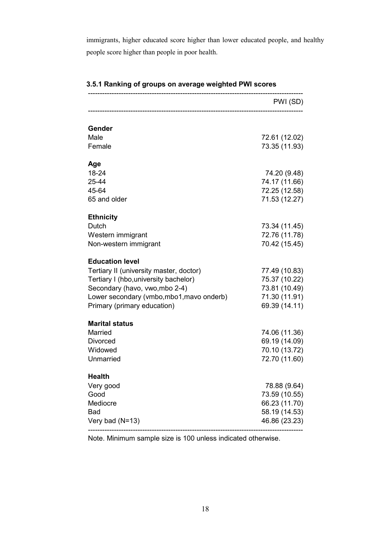immigrants, higher educated score higher than lower educated people, and healthy people score higher than people in poor health.

|                                           | PWI (SD)      |
|-------------------------------------------|---------------|
|                                           |               |
| Gender<br>Male                            | 72.61 (12.02) |
| Female                                    | 73.35 (11.93) |
|                                           |               |
| Age                                       |               |
| 18-24                                     | 74.20 (9.48)  |
| 25-44                                     | 74.17 (11.66) |
| 45-64                                     | 72.25 (12.58) |
| 65 and older                              | 71.53 (12.27) |
| <b>Ethnicity</b>                          |               |
| Dutch                                     | 73.34 (11.45) |
| Western immigrant                         | 72.76 (11.78) |
| Non-western immigrant                     | 70.42 (15.45) |
| <b>Education level</b>                    |               |
| Tertiary II (university master, doctor)   | 77.49 (10.83) |
| Tertiary I (hbo, university bachelor)     | 75.37 (10.22) |
| Secondary (havo, vwo, mbo 2-4)            | 73.81 (10.49) |
| Lower secondary (vmbo, mbo1, mavo onderb) | 71.30 (11.91) |
| Primary (primary education)               | 69.39 (14.11) |
| <b>Marital status</b>                     |               |
| Married                                   | 74.06 (11.36) |
| <b>Divorced</b>                           | 69.19 (14.09) |
| Widowed                                   | 70.10 (13.72) |
| Unmarried                                 | 72.70 (11.60) |
| <b>Health</b>                             |               |
| Very good                                 | 78.88 (9.64)  |
| Good                                      | 73.59 (10.55) |
| Mediocre                                  | 66.23 (11.70) |
| <b>Bad</b>                                | 58.19 (14.53) |
| Very bad (N=13)                           | 46.86 (23.23) |

# **3.5.1 Ranking of groups on average weighted PWI scores**

Note. Minimum sample size is 100 unless indicated otherwise.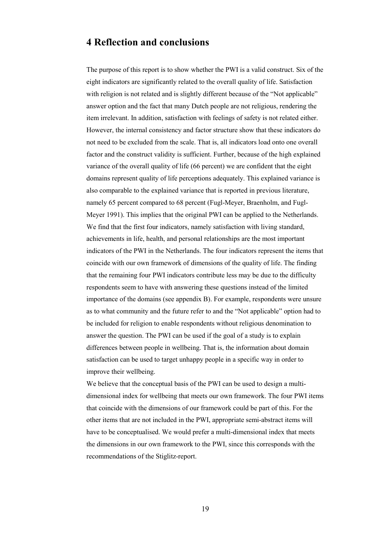# **4 Reflection and conclusions**

The purpose of this report is to show whether the PWI is a valid construct. Six of the eight indicators are significantly related to the overall quality of life. Satisfaction with religion is not related and is slightly different because of the "Not applicable" answer option and the fact that many Dutch people are not religious, rendering the item irrelevant. In addition, satisfaction with feelings of safety is not related either. However, the internal consistency and factor structure show that these indicators do not need to be excluded from the scale. That is, all indicators load onto one overall factor and the construct validity is sufficient. Further, because of the high explained variance of the overall quality of life (66 percent) we are confident that the eight domains represent quality of life perceptions adequately. This explained variance is also comparable to the explained variance that is reported in previous literature, namely 65 percent compared to 68 percent (Fugl-Meyer, Braenholm, and Fugl-Meyer 1991). This implies that the original PWI can be applied to the Netherlands. We find that the first four indicators, namely satisfaction with living standard, achievements in life, health, and personal relationships are the most important indicators of the PWI in the Netherlands. The four indicators represent the items that coincide with our own framework of dimensions of the quality of life. The finding that the remaining four PWI indicators contribute less may be due to the difficulty respondents seem to have with answering these questions instead of the limited importance of the domains (see appendix B). For example, respondents were unsure as to what community and the future refer to and the "Not applicable" option had to be included for religion to enable respondents without religious denomination to answer the question. The PWI can be used if the goal of a study is to explain differences between people in wellbeing. That is, the information about domain satisfaction can be used to target unhappy people in a specific way in order to improve their wellbeing.

We believe that the conceptual basis of the PWI can be used to design a multidimensional index for wellbeing that meets our own framework. The four PWI items that coincide with the dimensions of our framework could be part of this. For the other items that are not included in the PWI, appropriate semi-abstract items will have to be conceptualised. We would prefer a multi-dimensional index that meets the dimensions in our own framework to the PWI, since this corresponds with the recommendations of the Stiglitz-report.

19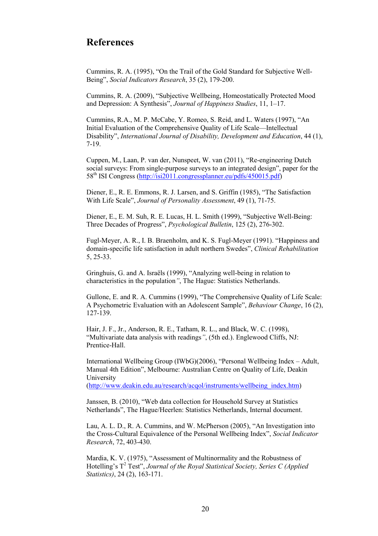# **References**

Cummins, R. A. (1995), "On the Trail of the Gold Standard for Subjective Well-Being", *Social Indicators Research*, 35 (2), 179-200.

Cummins, R. A. (2009), "Subjective Wellbeing, Homeostatically Protected Mood and Depression: A Synthesis", *Journal of Happiness Studies*, 11, 1–17.

Cummins, R.A., M. P. McCabe, Y. Romeo, S. Reid, and L. Waters (1997), "An Initial Evaluation of the Comprehensive Quality of Life Scale—Intellectual Disability", *International Journal of Disability, Development and Education*, 44 (1), 7-19.

Cuppen, M., Laan, P. van der, Nunspeet, W. van (2011), "Re-engineering Dutch social surveys: From single-purpose surveys to an integrated design", paper for the 58th ISI Congress (<http://isi2011.congressplanner.eu/pdfs/450015.pdf>)

Diener, E., R. E. Emmons, R. J. Larsen, and S. Griffin (1985), "The Satisfaction With Life Scale", *Journal of Personality Assessment*, 49 (1), 71-75.

Diener, E., E. M. Suh, R. E. Lucas, H. L. Smith (1999), "Subjective Well-Being: Three Decades of Progress", *Psychological Bulletin*, 125 (2), 276-302.

Fugl-Meyer, A. R., I. B. Braenholm, and K. S. Fugl-Meyer (1991). "Happiness and domain-specific life satisfaction in adult northern Swedes", *Clinical Rehabilitation* 5, 25-33.

Gringhuis, G. and A. Israëls (1999), "Analyzing well-being in relation to characteristics in the population*"*, The Hague: Statistics Netherlands.

Gullone, E. and R. A. Cummins (1999), "The Comprehensive Quality of Life Scale: A Psychometric Evaluation with an Adolescent Sample", *Behaviour Change*, 16 (2), 127-139.

Hair, J. F., Jr., Anderson, R. E., Tatham, R. L., and Black, W. C. (1998), "Multivariate data analysis with readings*"*, (5th ed.). Englewood Cliffs, NJ: Prentice-Hall.

International Wellbeing Group (IWbG)(2006), "Personal Wellbeing Index – Adult, Manual 4th Edition", Melbourne: Australian Centre on Quality of Life, Deakin University

([http://www.deakin.edu.au/research/acqol/instruments/wellbeing\\_index.htm\)](http://www.deakin.edu.au/research/acqol/instruments/wellbeing_index.htm)

Janssen, B. (2010), "Web data collection for Household Survey at Statistics Netherlands", The Hague/Heerlen: Statistics Netherlands, Internal document.

Lau, A. L. D., R. A. Cummins, and W. McPherson (2005), "An Investigation into the Cross-Cultural Equivalence of the Personal Wellbeing Index", *Social Indicator Research*, 72, 403-430.

Mardia, K. V. (1975), "Assessment of Multinormality and the Robustness of Hotelling's T<sup>2</sup> Test", *Journal of the Royal Statistical Society, Series C (Applied Statistics)*, 24 (2), 163-171.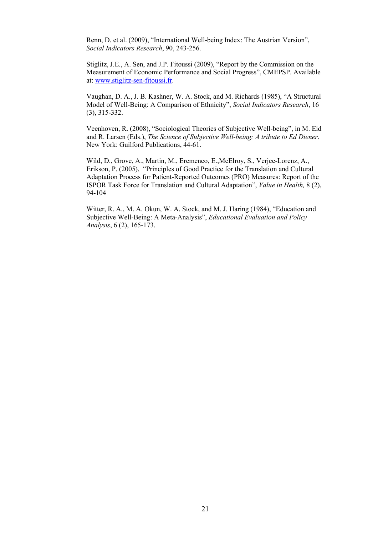Renn, D. et al. (2009), "International Well-being Index: The Austrian Version", *Social Indicators Research*, 90, 243-256.

Stiglitz, J.E., A. Sen, and J.P. Fitoussi (2009), "Report by the Commission on the Measurement of Economic Performance and Social Progress", CMEPSP. Available at: [www.stiglitz-sen-fitoussi.fr](http://www.stiglitz-sen-fitoussi.fr/).

Vaughan, D. A., J. B. Kashner, W. A. Stock, and M. Richards (1985), "A Structural Model of Well-Being: A Comparison of Ethnicity", *Social Indicators Research*, 16 (3), 315-332.

Veenhoven, R. (2008), "Sociological Theories of Subjective Well-being", in M. Eid and R. Larsen (Eds.), *The Science of Subjective Well-being: A tribute to Ed Diener*. New York: Guilford Publications, 44-61.

Wild, D., Grove, A., Martin, M., Eremenco, E.,McElroy, S., Verjee-Lorenz, A., Erikson, P. (2005), "Principles of Good Practice for the Translation and Cultural Adaptation Process for Patient-Reported Outcomes (PRO) Measures: Report of the ISPOR Task Force for Translation and Cultural Adaptation", *Value in Health,* 8 (2), 94-104

Witter, R. A., M. A. Okun, W. A. Stock, and M. J. Haring (1984), "Education and Subjective Well-Being: A Meta-Analysis", *Educational Evaluation and Policy Analysis*, 6 (2), 165-173.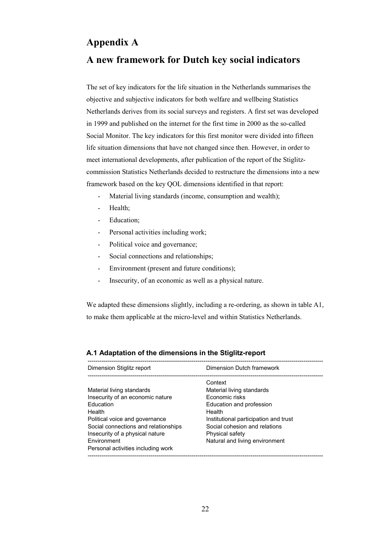# **Appendix A**

# **A new framework for Dutch key social indicators**

The set of key indicators for the life situation in the Netherlands summarises the objective and subjective indicators for both welfare and wellbeing Statistics Netherlands derives from its social surveys and registers. A first set was developed in 1999 and published on the internet for the first time in 2000 as the so-called Social Monitor. The key indicators for this first monitor were divided into fifteen life situation dimensions that have not changed since then. However, in order to meet international developments, after publication of the report of the Stiglitzcommission Statistics Netherlands decided to restructure the dimensions into a new framework based on the key QOL dimensions identified in that report:

- Material living standards (income, consumption and wealth);
- Health;
- Education;
- Personal activities including work;
- Political voice and governance;
- Social connections and relationships;
- Environment (present and future conditions);
- Insecurity, of an economic as well as a physical nature.

We adapted these dimensions slightly, including a re-ordering, as shown in table A1, to make them applicable at the micro-level and within Statistics Netherlands.

| Dimension Stiglitz report                                                                                                                                                                                                                                     | Dimension Dutch framework                                                                                                                                                                                                          |
|---------------------------------------------------------------------------------------------------------------------------------------------------------------------------------------------------------------------------------------------------------------|------------------------------------------------------------------------------------------------------------------------------------------------------------------------------------------------------------------------------------|
| Material living standards<br>Insecurity of an economic nature<br>Education<br>Health<br>Political voice and governance<br>Social connections and relationships<br>Insecurity of a physical nature<br><b>Fnvironment</b><br>Personal activities including work | Context<br>Material living standards<br>Economic risks<br>Education and profession<br>Health<br>Institutional participation and trust<br>Social cohesion and relations<br><b>Physical safety</b><br>Natural and living environment |
|                                                                                                                                                                                                                                                               |                                                                                                                                                                                                                                    |

### **A.1 Adaptation of the dimensions in the Stiglitz-report**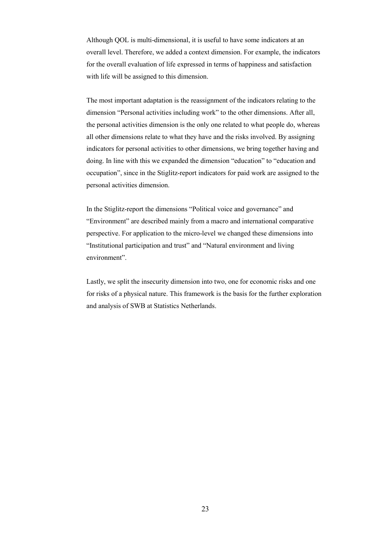Although QOL is multi-dimensional, it is useful to have some indicators at an overall level. Therefore, we added a context dimension. For example, the indicators for the overall evaluation of life expressed in terms of happiness and satisfaction with life will be assigned to this dimension.

The most important adaptation is the reassignment of the indicators relating to the dimension "Personal activities including work" to the other dimensions. After all, the personal activities dimension is the only one related to what people do, whereas all other dimensions relate to what they have and the risks involved. By assigning indicators for personal activities to other dimensions, we bring together having and doing. In line with this we expanded the dimension "education" to "education and occupation", since in the Stiglitz-report indicators for paid work are assigned to the personal activities dimension.

In the Stiglitz-report the dimensions "Political voice and governance" and "Environment" are described mainly from a macro and international comparative perspective. For application to the micro-level we changed these dimensions into "Institutional participation and trust" and "Natural environment and living environment".

Lastly, we split the insecurity dimension into two, one for economic risks and one for risks of a physical nature. This framework is the basis for the further exploration and analysis of SWB at Statistics Netherlands.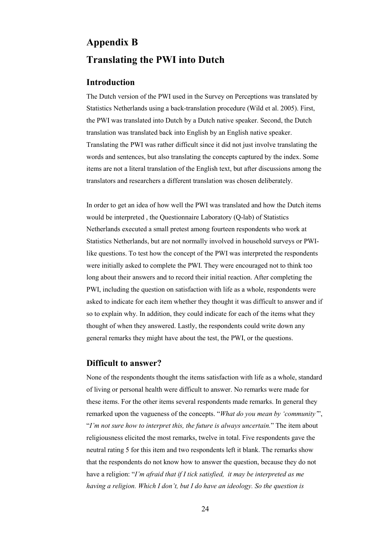# **Appendix B Translating the PWI into Dutch**

# **Introduction**

The Dutch version of the PWI used in the Survey on Perceptions was translated by Statistics Netherlands using a back-translation procedure (Wild et al. 2005). First, the PWI was translated into Dutch by a Dutch native speaker. Second, the Dutch translation was translated back into English by an English native speaker. Translating the PWI was rather difficult since it did not just involve translating the words and sentences, but also translating the concepts captured by the index. Some items are not a literal translation of the English text, but after discussions among the translators and researchers a different translation was chosen deliberately.

In order to get an idea of how well the PWI was translated and how the Dutch items would be interpreted , the Questionnaire Laboratory (Q-lab) of Statistics Netherlands executed a small pretest among fourteen respondents who work at Statistics Netherlands, but are not normally involved in household surveys or PWIlike questions. To test how the concept of the PWI was interpreted the respondents were initially asked to complete the PWI. They were encouraged not to think too long about their answers and to record their initial reaction. After completing the PWI, including the question on satisfaction with life as a whole, respondents were asked to indicate for each item whether they thought it was difficult to answer and if so to explain why. In addition, they could indicate for each of the items what they thought of when they answered. Lastly, the respondents could write down any general remarks they might have about the test, the PWI, or the questions.

# **Difficult to answer?**

None of the respondents thought the items satisfaction with life as a whole, standard of living or personal health were difficult to answer. No remarks were made for these items. For the other items several respondents made remarks. In general they remarked upon the vagueness of the concepts. "*What do you mean by 'community'*", "*I'm not sure how to interpret this, the future is always uncertain.*" The item about religiousness elicited the most remarks, twelve in total. Five respondents gave the neutral rating 5 for this item and two respondents left it blank. The remarks show that the respondents do not know how to answer the question, because they do not have a religion: "*I'm afraid that if I tick satisfied, it may be interpreted as me having a religion. Which I don't, but I do have an ideology. So the question is*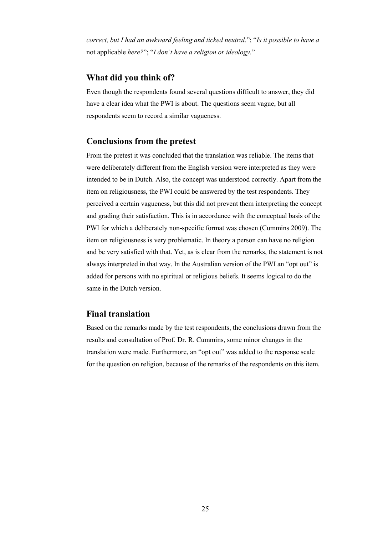*correct, but I had an awkward feeling and ticked neutral.*"; "*Is it possible to have a*  not applicable *here?*"; "*I don't have a religion or ideology.*"

# **What did you think of?**

Even though the respondents found several questions difficult to answer, they did have a clear idea what the PWI is about. The questions seem vague, but all respondents seem to record a similar vagueness.

### **Conclusions from the pretest**

From the pretest it was concluded that the translation was reliable. The items that were deliberately different from the English version were interpreted as they were intended to be in Dutch. Also, the concept was understood correctly. Apart from the item on religiousness, the PWI could be answered by the test respondents. They perceived a certain vagueness, but this did not prevent them interpreting the concept and grading their satisfaction. This is in accordance with the conceptual basis of the PWI for which a deliberately non-specific format was chosen (Cummins 2009). The item on religiousness is very problematic. In theory a person can have no religion and be very satisfied with that. Yet, as is clear from the remarks, the statement is not always interpreted in that way. In the Australian version of the PWI an "opt out" is added for persons with no spiritual or religious beliefs. It seems logical to do the same in the Dutch version.

### **Final translation**

Based on the remarks made by the test respondents, the conclusions drawn from the results and consultation of Prof. Dr. R. Cummins, some minor changes in the translation were made. Furthermore, an "opt out" was added to the response scale for the question on religion, because of the remarks of the respondents on this item.